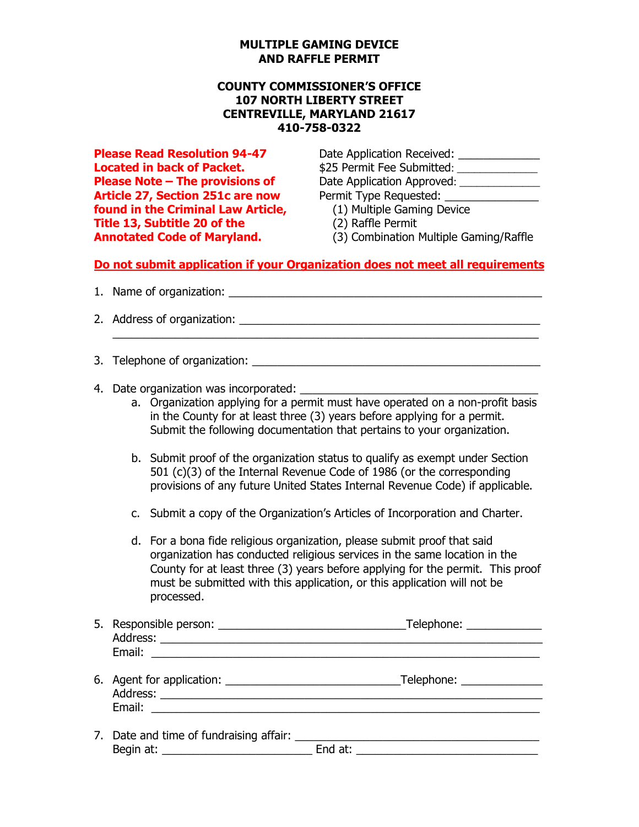#### **MULTIPLE GAMING DEVICE AND RAFFLE PERMIT**

### **COUNTY COMMISSIONER'S OFFICE 107 NORTH LIBERTY STREET CENTREVILLE, MARYLAND 21617 410-758-0322**

**Article 27, Section 251c are now The Permit Type Requested: found in the Criminal Law Article,** (1) Multiple Gaming Device **Title 13, Subtitle 20 of the** (2) Raffle Permit

**Please Read Resolution 94-47** Date Application Received: \_\_\_\_\_\_\_\_\_\_\_\_\_\_\_\_\_\_\_\_\_\_\_\_ **Located in back of Packet. \$25 Permit Fee Submitted:**  $\frac{1}{2}$ **Please Note – The provisions of Date Application Approved: \_\_\_\_\_\_\_\_\_\_\_\_\_\_\_\_\_\_\_\_** 

- 
- 
- **Annotated Code of Maryland.** (3) Combination Multiple Gaming/Raffle

## **Do not submit application if your Organization does not meet all requirements**

- 1. Name of organization: \_\_\_\_\_\_\_\_\_\_\_\_\_\_\_\_\_\_\_\_\_\_\_\_\_\_\_\_\_\_\_\_\_\_\_\_\_\_\_\_\_\_\_\_\_\_\_\_\_\_
- 2. Address of organization: \_\_\_\_\_\_\_\_\_\_\_\_\_\_\_\_\_\_\_\_\_\_\_\_\_\_\_\_\_\_\_\_\_\_\_\_\_\_\_\_\_\_\_\_\_\_\_\_

3. Telephone of organization: \_\_\_\_\_\_\_\_\_\_\_\_\_\_\_\_\_\_\_\_\_\_\_\_\_\_\_\_\_\_\_\_\_\_\_\_\_\_\_\_\_\_\_\_\_\_

- 4. Date organization was incorporated:
	- a. Organization applying for a permit must have operated on a non-profit basis in the County for at least three (3) years before applying for a permit. Submit the following documentation that pertains to your organization.
	- b. Submit proof of the organization status to qualify as exempt under Section 501 (c)(3) of the Internal Revenue Code of 1986 (or the corresponding provisions of any future United States Internal Revenue Code) if applicable.
	- c. Submit a copy of the Organization's Articles of Incorporation and Charter.
	- d. For a bona fide religious organization, please submit proof that said organization has conducted religious services in the same location in the County for at least three (3) years before applying for the permit. This proof must be submitted with this application, or this application will not be processed.

| 5. Responsible person: | Telephone: |
|------------------------|------------|
| Address:               |            |
| Email:                 |            |

- 6. Agent for application: <br>
and the state of the state of the Telephone:  $\overline{a}$ Address: \_\_\_\_\_\_\_\_\_\_\_\_\_\_\_\_\_\_\_\_\_\_\_\_\_\_\_\_\_\_\_\_\_\_\_\_\_\_\_\_\_\_\_\_\_\_\_\_\_\_\_\_\_\_\_\_\_\_\_\_\_ Email: \_\_\_\_\_\_\_\_\_\_\_\_\_\_\_\_\_\_\_\_\_\_\_\_\_\_\_\_\_\_\_\_\_\_\_\_\_\_\_\_\_\_\_\_\_\_\_\_\_\_\_\_\_\_\_\_\_\_\_\_\_\_
- 7. Date and time of fundraising affair: \_\_\_\_\_\_\_\_\_\_\_\_\_\_\_\_\_\_\_\_\_\_\_\_\_\_\_\_\_\_\_\_\_\_\_\_\_\_\_ Begin at: \_\_\_\_\_\_\_\_\_\_\_\_\_\_\_\_\_\_\_\_\_\_\_\_ End at: \_\_\_\_\_\_\_\_\_\_\_\_\_\_\_\_\_\_\_\_\_\_\_\_\_\_\_\_\_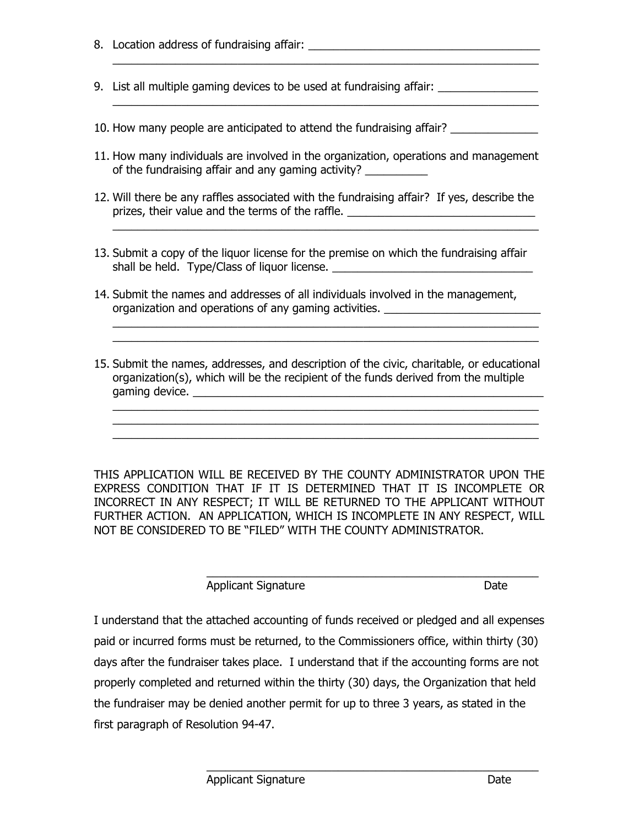8. Location address of fundraising affair: \_\_\_\_\_\_\_\_\_\_\_\_\_\_\_\_\_\_\_\_\_\_\_\_\_\_\_\_\_\_\_\_\_\_\_\_\_

 $\mathcal{L}_\text{max} = \mathcal{L}_\text{max} = \mathcal{L}_\text{max} = \mathcal{L}_\text{max} = \mathcal{L}_\text{max} = \mathcal{L}_\text{max} = \mathcal{L}_\text{max}$ 

- 9. List all multiple gaming devices to be used at fundraising affair:
- 10. How many people are anticipated to attend the fundraising affair?
- 11. How many individuals are involved in the organization, operations and management of the fundraising affair and any gaming activity? \_\_\_\_\_\_\_\_\_\_\_\_\_\_\_\_\_\_\_\_\_\_\_\_\_\_\_\_\_\_

 $\overline{\phantom{a}}$  , and the contribution of the contribution of the contribution of the contribution of the contribution of the contribution of the contribution of the contribution of the contribution of the contribution of the

 $\overline{\phantom{a}}$  , and the contract of the contract of the contract of the contract of the contract of the contract of the contract of the contract of the contract of the contract of the contract of the contract of the contrac

12. Will there be any raffles associated with the fundraising affair? If yes, describe the prizes, their value and the terms of the raffle. \_\_\_\_\_\_\_\_\_\_\_\_\_\_\_\_\_\_\_\_\_\_\_\_\_\_\_\_\_\_\_

 $\_$  , and the set of the set of the set of the set of the set of the set of the set of the set of the set of the set of the set of the set of the set of the set of the set of the set of the set of the set of the set of th

- 13. Submit a copy of the liquor license for the premise on which the fundraising affair shall be held. Type/Class of liquor license. \_\_\_\_\_\_\_\_\_\_\_\_\_\_\_\_\_\_\_\_\_\_\_\_\_\_\_\_\_\_\_\_\_\_\_
- 14. Submit the names and addresses of all individuals involved in the management, organization and operations of any gaming activities. \_\_\_\_\_\_\_\_\_\_\_\_\_\_\_\_\_\_\_\_\_\_\_\_\_\_
- 15. Submit the names, addresses, and description of the civic, charitable, or educational organization(s), which will be the recipient of the funds derived from the multiple gaming device. \_\_\_\_\_\_\_\_\_\_\_\_\_\_\_\_\_\_\_\_\_\_\_\_\_\_\_\_\_\_\_\_\_\_\_\_\_\_\_\_\_\_\_\_\_\_\_\_\_\_\_\_\_\_\_\_

 $\_$  , and the set of the set of the set of the set of the set of the set of the set of the set of the set of the set of the set of the set of the set of the set of the set of the set of the set of the set of the set of th  $\_$  , and the set of the set of the set of the set of the set of the set of the set of the set of the set of the set of the set of the set of the set of the set of the set of the set of the set of the set of the set of th

 $\_$  , and the set of the set of the set of the set of the set of the set of the set of the set of the set of the set of the set of the set of the set of the set of the set of the set of the set of the set of the set of th

THIS APPLICATION WILL BE RECEIVED BY THE COUNTY ADMINISTRATOR UPON THE EXPRESS CONDITION THAT IF IT IS DETERMINED THAT IT IS INCOMPLETE OR INCORRECT IN ANY RESPECT; IT WILL BE RETURNED TO THE APPLICANT WITHOUT FURTHER ACTION. AN APPLICATION, WHICH IS INCOMPLETE IN ANY RESPECT, WILL NOT BE CONSIDERED TO BE "FILED" WITH THE COUNTY ADMINISTRATOR.

| Applicant Signature | Date |
|---------------------|------|

 $\_$  , and the set of the set of the set of the set of the set of the set of the set of the set of the set of the set of the set of the set of the set of the set of the set of the set of the set of the set of the set of th

I understand that the attached accounting of funds received or pledged and all expenses paid or incurred forms must be returned, to the Commissioners office, within thirty (30) days after the fundraiser takes place. I understand that if the accounting forms are not properly completed and returned within the thirty (30) days, the Organization that held the fundraiser may be denied another permit for up to three 3 years, as stated in the first paragraph of Resolution 94-47.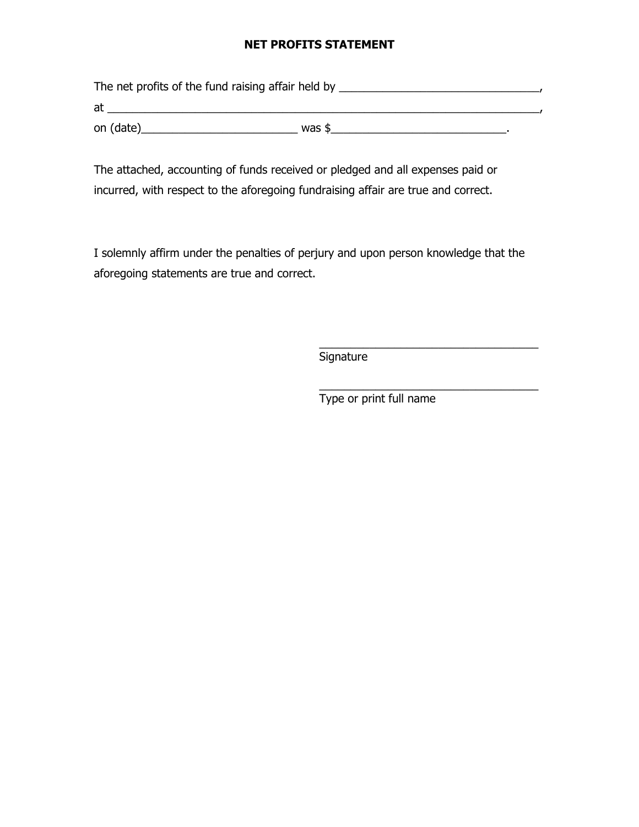## **NET PROFITS STATEMENT**

The net profits of the fund raising affair held by \_\_\_\_\_\_\_\_\_\_\_\_\_\_\_\_\_\_\_\_\_\_\_\_\_\_\_\_\_\_, at \_\_\_\_\_\_\_\_\_\_\_\_\_\_\_\_\_\_\_\_\_\_\_\_\_\_\_\_\_\_\_\_\_\_\_\_\_\_\_\_\_\_\_\_\_\_\_\_\_\_\_\_\_\_\_\_\_\_\_\_\_\_\_\_\_\_\_\_\_, on (date)\_\_\_\_\_\_\_\_\_\_\_\_\_\_\_\_\_\_\_\_\_\_\_\_\_ was \$\_\_\_\_\_\_\_\_\_\_\_\_\_\_\_\_\_\_\_\_\_\_\_\_\_\_\_\_.

The attached, accounting of funds received or pledged and all expenses paid or incurred, with respect to the aforegoing fundraising affair are true and correct.

I solemnly affirm under the penalties of perjury and upon person knowledge that the aforegoing statements are true and correct.

**Signature** 

Type or print full name

\_\_\_\_\_\_\_\_\_\_\_\_\_\_\_\_\_\_\_\_\_\_\_\_\_\_\_\_\_\_\_\_\_\_\_

\_\_\_\_\_\_\_\_\_\_\_\_\_\_\_\_\_\_\_\_\_\_\_\_\_\_\_\_\_\_\_\_\_\_\_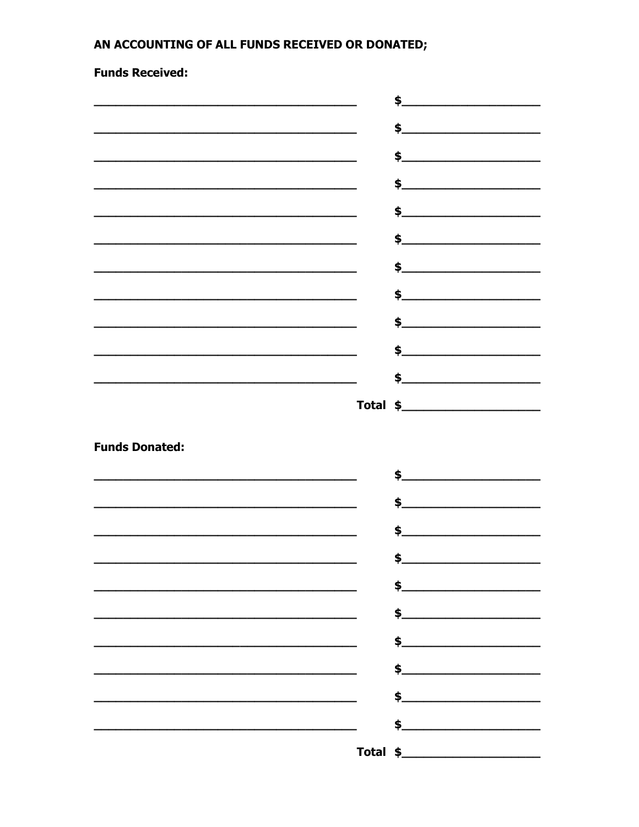# AN ACCOUNTING OF ALL FUNDS RECEIVED OR DONATED;

# **Funds Received:**

|                                                                                                                       | \$.<br><u> 1980 - Johann John Stein, markin fan it fjort fan it fjort fan it fjort fan it fjort fan it fjort fan it fjort f</u>                                                                                                                                                                                                                                                                                                   |
|-----------------------------------------------------------------------------------------------------------------------|-----------------------------------------------------------------------------------------------------------------------------------------------------------------------------------------------------------------------------------------------------------------------------------------------------------------------------------------------------------------------------------------------------------------------------------|
|                                                                                                                       | $\frac{1}{2}$                                                                                                                                                                                                                                                                                                                                                                                                                     |
|                                                                                                                       |                                                                                                                                                                                                                                                                                                                                                                                                                                   |
| <u> 1989 - Johann Barbara, marka a shekara tsa 1989 - An tsa 1989 - An tsa 1989 - An tsa 1989 - An tsa 1989 - An</u>  | \$                                                                                                                                                                                                                                                                                                                                                                                                                                |
|                                                                                                                       |                                                                                                                                                                                                                                                                                                                                                                                                                                   |
|                                                                                                                       |                                                                                                                                                                                                                                                                                                                                                                                                                                   |
|                                                                                                                       |                                                                                                                                                                                                                                                                                                                                                                                                                                   |
| <u> 1989 - Johann John Stein, market fan it ferskeart fan it ferskeart fan it ferskeart fan it ferskeart fan it f</u> |                                                                                                                                                                                                                                                                                                                                                                                                                                   |
|                                                                                                                       | $\frac{1}{2}$                                                                                                                                                                                                                                                                                                                                                                                                                     |
|                                                                                                                       |                                                                                                                                                                                                                                                                                                                                                                                                                                   |
| <u> 1989 - Johann Stein, marwolaethau a bhann an t-Amhainn an t-Amhainn an t-Amhainn an t-Amhainn an t-Amhainn a</u>  |                                                                                                                                                                                                                                                                                                                                                                                                                                   |
|                                                                                                                       |                                                                                                                                                                                                                                                                                                                                                                                                                                   |
|                                                                                                                       |                                                                                                                                                                                                                                                                                                                                                                                                                                   |
|                                                                                                                       |                                                                                                                                                                                                                                                                                                                                                                                                                                   |
| <b>Funds Donated:</b>                                                                                                 |                                                                                                                                                                                                                                                                                                                                                                                                                                   |
|                                                                                                                       | $\mathsf{s}\hspace{-.1em}-\hspace{-.1em}-\hspace{-.1em}-\hspace{-.1em}-\hspace{-.1em}-\hspace{-.1em}-\hspace{-.1em}-\hspace{-.1em}-\hspace{-.1em}-\hspace{-.1em}-\hspace{-.1em}-\hspace{-.1em}-\hspace{-.1em}-\hspace{-.1em}-\hspace{-.1em}-\hspace{-.1em}-\hspace{-.1em}-\hspace{-.1em}-\hspace{-.1em}-\hspace{-.1em}-\hspace{-.1em}-\hspace{-.1em}-\hspace{-.1em}-\hspace{-.1em}-\hspace{-.1em}-\hspace{-.1em}-\hspace{-.1em}-$ |
|                                                                                                                       |                                                                                                                                                                                                                                                                                                                                                                                                                                   |
|                                                                                                                       | \$.                                                                                                                                                                                                                                                                                                                                                                                                                               |
|                                                                                                                       | ¢                                                                                                                                                                                                                                                                                                                                                                                                                                 |
|                                                                                                                       |                                                                                                                                                                                                                                                                                                                                                                                                                                   |
|                                                                                                                       | $\frac{1}{2}$                                                                                                                                                                                                                                                                                                                                                                                                                     |
|                                                                                                                       |                                                                                                                                                                                                                                                                                                                                                                                                                                   |
|                                                                                                                       | $\frac{1}{2}$                                                                                                                                                                                                                                                                                                                                                                                                                     |
|                                                                                                                       | $\frac{1}{2}$                                                                                                                                                                                                                                                                                                                                                                                                                     |
|                                                                                                                       | $\sim$                                                                                                                                                                                                                                                                                                                                                                                                                            |
|                                                                                                                       | $\frac{1}{2}$                                                                                                                                                                                                                                                                                                                                                                                                                     |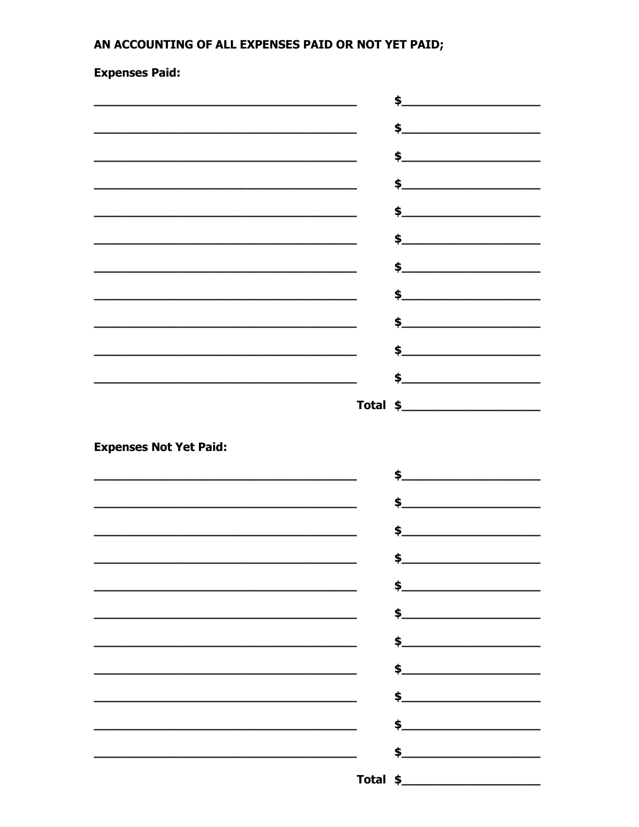# AN ACCOUNTING OF ALL EXPENSES PAID OR NOT YET PAID;

**Expenses Paid:** 

|                                                                                                                      | \$.<br><u> 1989 - Johann Barbara, martin a</u>                                                                                                                                                                                      |
|----------------------------------------------------------------------------------------------------------------------|-------------------------------------------------------------------------------------------------------------------------------------------------------------------------------------------------------------------------------------|
|                                                                                                                      | $\frac{1}{2}$                                                                                                                                                                                                                       |
|                                                                                                                      | $\frac{1}{2}$                                                                                                                                                                                                                       |
| <u> 1989 - Johann John Stein, mars an deus Amerikaansk kommunister (</u>                                             |                                                                                                                                                                                                                                     |
|                                                                                                                      | $\frac{1}{2}$                                                                                                                                                                                                                       |
|                                                                                                                      |                                                                                                                                                                                                                                     |
|                                                                                                                      | \$                                                                                                                                                                                                                                  |
|                                                                                                                      | $\frac{1}{2}$ , which is the contract of the contract of the contract of the contract of the contract of the contract of the contract of the contract of the contract of the contract of the contract of the contract of the cont   |
|                                                                                                                      |                                                                                                                                                                                                                                     |
| <u> 1989 - Johann Barbara, marka a shekara tsa 1989 - An tsa 1989 - An tsa 1989 - An tsa 1989 - An tsa 1989 - An</u> |                                                                                                                                                                                                                                     |
|                                                                                                                      | $\frac{1}{2}$                                                                                                                                                                                                                       |
|                                                                                                                      | \$                                                                                                                                                                                                                                  |
|                                                                                                                      |                                                                                                                                                                                                                                     |
| <b>Expenses Not Yet Paid:</b>                                                                                        |                                                                                                                                                                                                                                     |
|                                                                                                                      | $\clubsuit$ . The contract of the contract of the contract of the contract of the contract of the contract of the contract of the contract of the contract of the contract of the contract of the contract of the contract of the c |
|                                                                                                                      |                                                                                                                                                                                                                                     |
|                                                                                                                      |                                                                                                                                                                                                                                     |
|                                                                                                                      | \$.                                                                                                                                                                                                                                 |
|                                                                                                                      | $\sim$                                                                                                                                                                                                                              |
|                                                                                                                      | $\frac{1}{2}$                                                                                                                                                                                                                       |
|                                                                                                                      |                                                                                                                                                                                                                                     |
|                                                                                                                      | $\frac{1}{2}$                                                                                                                                                                                                                       |
|                                                                                                                      | $\frac{1}{2}$                                                                                                                                                                                                                       |
|                                                                                                                      |                                                                                                                                                                                                                                     |
|                                                                                                                      |                                                                                                                                                                                                                                     |
|                                                                                                                      |                                                                                                                                                                                                                                     |
|                                                                                                                      | $\frac{1}{2}$                                                                                                                                                                                                                       |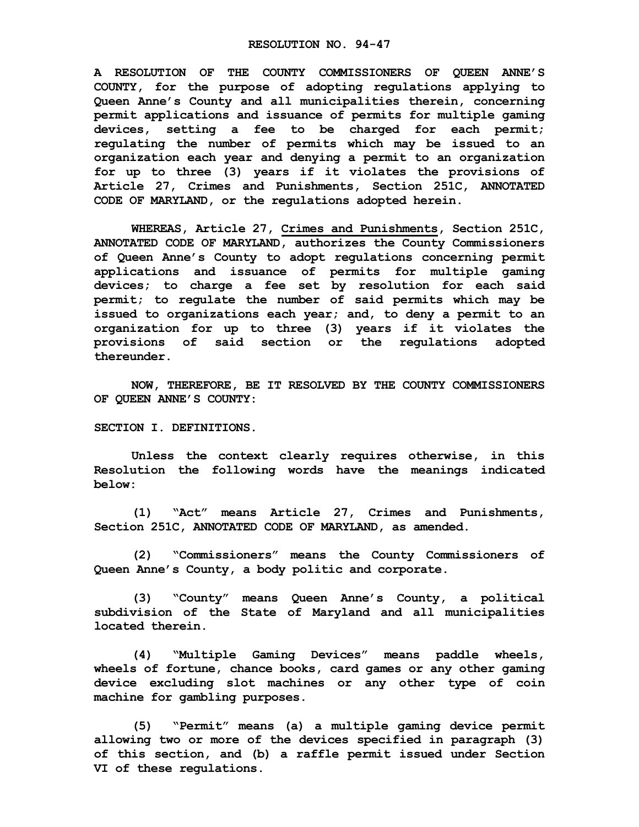**A RESOLUTION OF THE COUNTY COMMISSIONERS OF QUEEN ANNE'S COUNTY, for the purpose of adopting regulations applying to Queen Anne's County and all municipalities therein, concerning permit applications and issuance of permits for multiple gaming devices, setting a fee to be charged for each permit; regulating the number of permits which may be issued to an organization each year and denying a permit to an organization for up to three (3) years if it violates the provisions of Article 27, Crimes and Punishments, Section 251C, ANNOTATED CODE OF MARYLAND, or the regulations adopted herein.**

**WHEREAS, Article 27, Crimes and Punishments, Section 251C, ANNOTATED CODE OF MARYLAND, authorizes the County Commissioners of Queen Anne's County to adopt regulations concerning permit applications and issuance of permits for multiple gaming devices; to charge a fee set by resolution for each said permit; to regulate the number of said permits which may be issued to organizations each year; and, to deny a permit to an organization for up to three (3) years if it violates the provisions of said section or the regulations adopted thereunder.**

**NOW, THEREFORE, BE IT RESOLVED BY THE COUNTY COMMISSIONERS OF QUEEN ANNE'S COUNTY:**

**SECTION I. DEFINITIONS.**

**Unless the context clearly requires otherwise, in this Resolution the following words have the meanings indicated below:**

**(1) "Act" means Article 27, Crimes and Punishments, Section 251C, ANNOTATED CODE OF MARYLAND, as amended.**

**(2) "Commissioners" means the County Commissioners of Queen Anne's County, a body politic and corporate.**

**(3) "County" means Queen Anne's County, a political subdivision of the State of Maryland and all municipalities located therein.**

**(4) "Multiple Gaming Devices" means paddle wheels, wheels of fortune, chance books, card games or any other gaming device excluding slot machines or any other type of coin machine for gambling purposes.**

**(5) "Permit" means (a) a multiple gaming device permit allowing two or more of the devices specified in paragraph (3) of this section, and (b) a raffle permit issued under Section VI of these regulations.**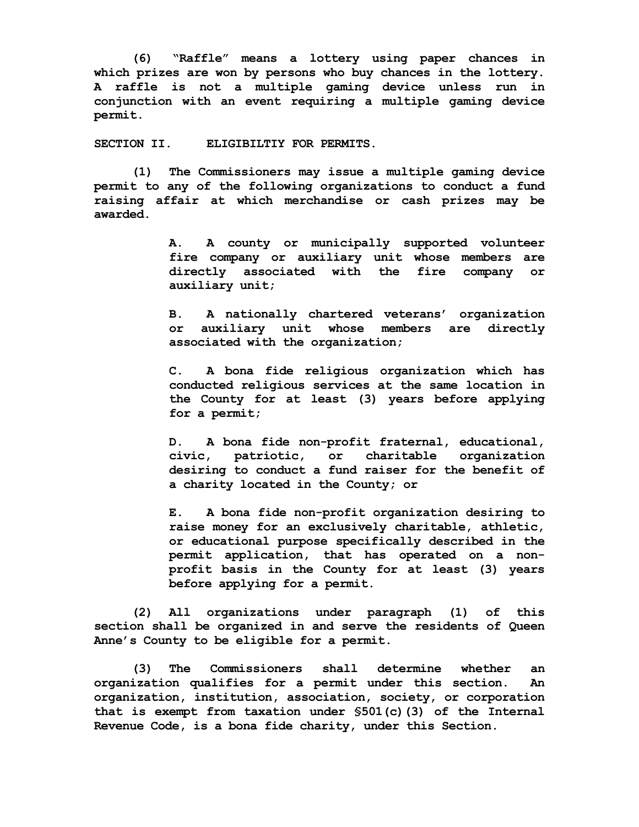**(6) "Raffle" means a lottery using paper chances in which prizes are won by persons who buy chances in the lottery. A raffle is not a multiple gaming device unless run in conjunction with an event requiring a multiple gaming device permit.**

**SECTION II. ELIGIBILTIY FOR PERMITS.**

**(1) The Commissioners may issue a multiple gaming device permit to any of the following organizations to conduct a fund raising affair at which merchandise or cash prizes may be awarded.**

> **A. A county or municipally supported volunteer fire company or auxiliary unit whose members are directly associated with the fire company or auxiliary unit;**

> **B. A nationally chartered veterans' organization or auxiliary unit whose members are directly associated with the organization;**

> **C. A bona fide religious organization which has conducted religious services at the same location in the County for at least (3) years before applying for a permit;**

> **D. A bona fide non-profit fraternal, educational, civic, patriotic, or charitable organization desiring to conduct a fund raiser for the benefit of a charity located in the County; or**

> **E. A bona fide non-profit organization desiring to raise money for an exclusively charitable, athletic, or educational purpose specifically described in the permit application, that has operated on a nonprofit basis in the County for at least (3) years before applying for a permit.**

**(2) All organizations under paragraph (1) of this section shall be organized in and serve the residents of Queen Anne's County to be eligible for a permit.**

**(3) The Commissioners shall determine whether an organization qualifies for a permit under this section. An organization, institution, association, society, or corporation that is exempt from taxation under §501(c)(3) of the Internal Revenue Code, is a bona fide charity, under this Section.**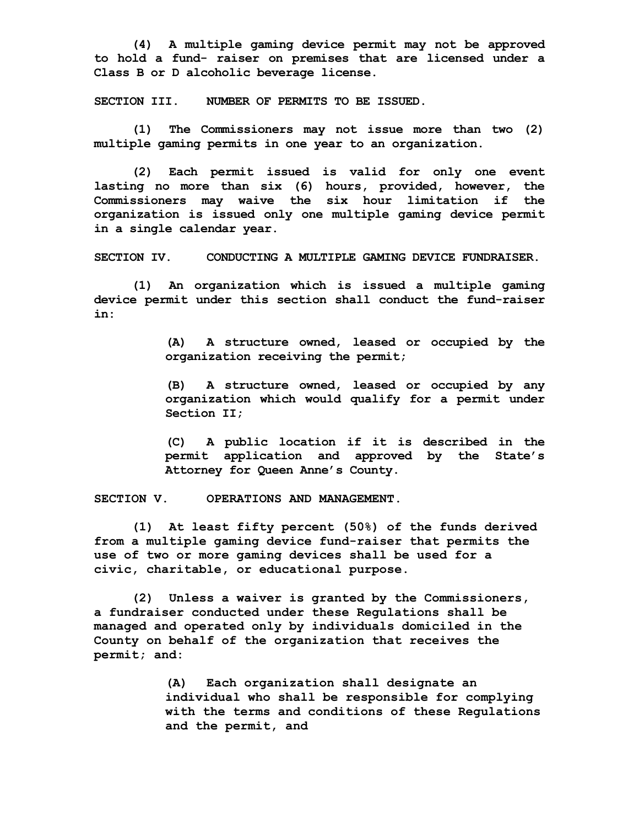**(4) A multiple gaming device permit may not be approved to hold a fund- raiser on premises that are licensed under a Class B or D alcoholic beverage license.**

**SECTION III. NUMBER OF PERMITS TO BE ISSUED.**

**(1) The Commissioners may not issue more than two (2) multiple gaming permits in one year to an organization.**

**(2) Each permit issued is valid for only one event lasting no more than six (6) hours, provided, however, the Commissioners may waive the six hour limitation if the organization is issued only one multiple gaming device permit in a single calendar year.**

**SECTION IV. CONDUCTING A MULTIPLE GAMING DEVICE FUNDRAISER.**

**(1) An organization which is issued a multiple gaming device permit under this section shall conduct the fund-raiser in:**

> **(A) A structure owned, leased or occupied by the organization receiving the permit;**

> **(B) A structure owned, leased or occupied by any organization which would qualify for a permit under Section II;**

> **(C) A public location if it is described in the permit application and approved by the State's Attorney for Queen Anne's County.**

**SECTION V. OPERATIONS AND MANAGEMENT.**

**(1) At least fifty percent (50%) of the funds derived from a multiple gaming device fund-raiser that permits the use of two or more gaming devices shall be used for a civic, charitable, or educational purpose.**

**(2) Unless a waiver is granted by the Commissioners, a fundraiser conducted under these Regulations shall be managed and operated only by individuals domiciled in the County on behalf of the organization that receives the permit; and:**

> **(A) Each organization shall designate an individual who shall be responsible for complying with the terms and conditions of these Regulations and the permit, and**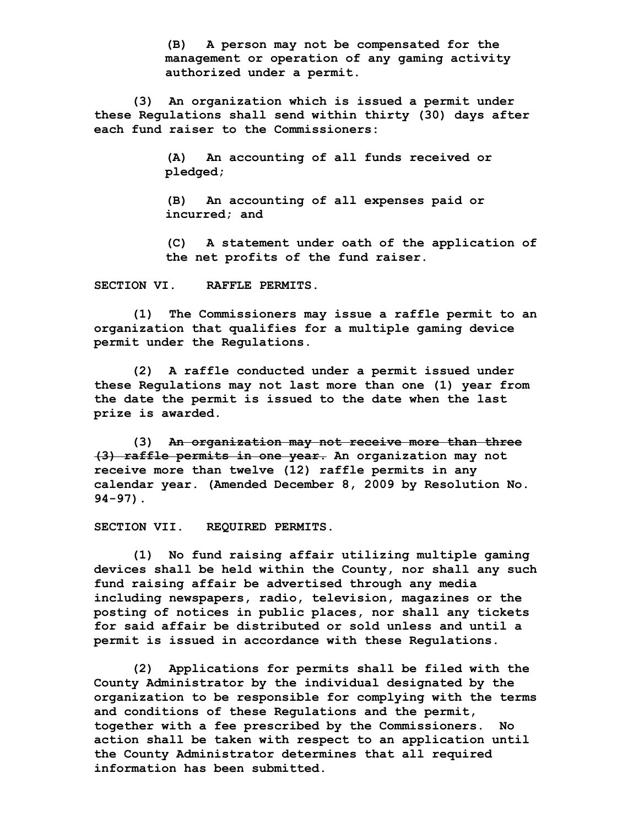**(B) A person may not be compensated for the management or operation of any gaming activity authorized under a permit.**

**(3) An organization which is issued a permit under these Regulations shall send within thirty (30) days after each fund raiser to the Commissioners:**

> **(A) An accounting of all funds received or pledged;**

**(B) An accounting of all expenses paid or incurred; and** 

**(C) A statement under oath of the application of the net profits of the fund raiser.**

**SECTION VI. RAFFLE PERMITS.**

**(1) The Commissioners may issue a raffle permit to an organization that qualifies for a multiple gaming device permit under the Regulations.**

**(2) A raffle conducted under a permit issued under these Regulations may not last more than one (1) year from the date the permit is issued to the date when the last prize is awarded.**

**(3) An organization may not receive more than three (3) raffle permits in one year. An organization may not receive more than twelve (12) raffle permits in any calendar year. (Amended December 8, 2009 by Resolution No. 94-97).**

**SECTION VII. REQUIRED PERMITS.**

**(1) No fund raising affair utilizing multiple gaming devices shall be held within the County, nor shall any such fund raising affair be advertised through any media including newspapers, radio, television, magazines or the posting of notices in public places, nor shall any tickets for said affair be distributed or sold unless and until a permit is issued in accordance with these Regulations.**

**(2) Applications for permits shall be filed with the County Administrator by the individual designated by the organization to be responsible for complying with the terms and conditions of these Regulations and the permit, together with a fee prescribed by the Commissioners. No action shall be taken with respect to an application until the County Administrator determines that all required information has been submitted.**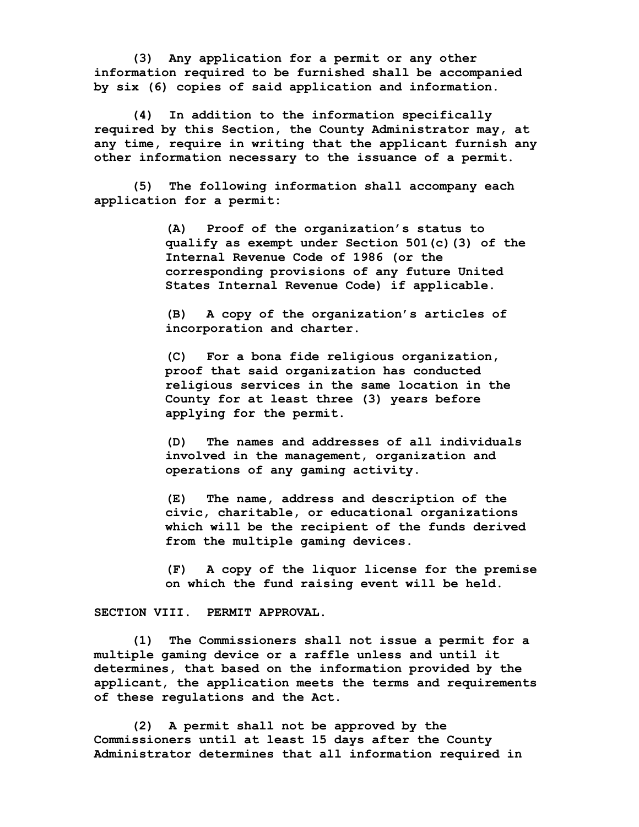**(3) Any application for a permit or any other information required to be furnished shall be accompanied by six (6) copies of said application and information.**

**(4) In addition to the information specifically required by this Section, the County Administrator may, at any time, require in writing that the applicant furnish any other information necessary to the issuance of a permit.**

**(5) The following information shall accompany each application for a permit:**

> **(A) Proof of the organization's status to qualify as exempt under Section 501(c)(3) of the Internal Revenue Code of 1986 (or the corresponding provisions of any future United States Internal Revenue Code) if applicable.**

**(B) A copy of the organization's articles of incorporation and charter.**

**(C) For a bona fide religious organization, proof that said organization has conducted religious services in the same location in the County for at least three (3) years before applying for the permit.**

**(D) The names and addresses of all individuals involved in the management, organization and operations of any gaming activity.**

**(E) The name, address and description of the civic, charitable, or educational organizations which will be the recipient of the funds derived from the multiple gaming devices.**

**(F) A copy of the liquor license for the premise on which the fund raising event will be held.**

**SECTION VIII. PERMIT APPROVAL.**

**(1) The Commissioners shall not issue a permit for a multiple gaming device or a raffle unless and until it determines, that based on the information provided by the applicant, the application meets the terms and requirements of these regulations and the Act.**

**(2) A permit shall not be approved by the Commissioners until at least 15 days after the County Administrator determines that all information required in**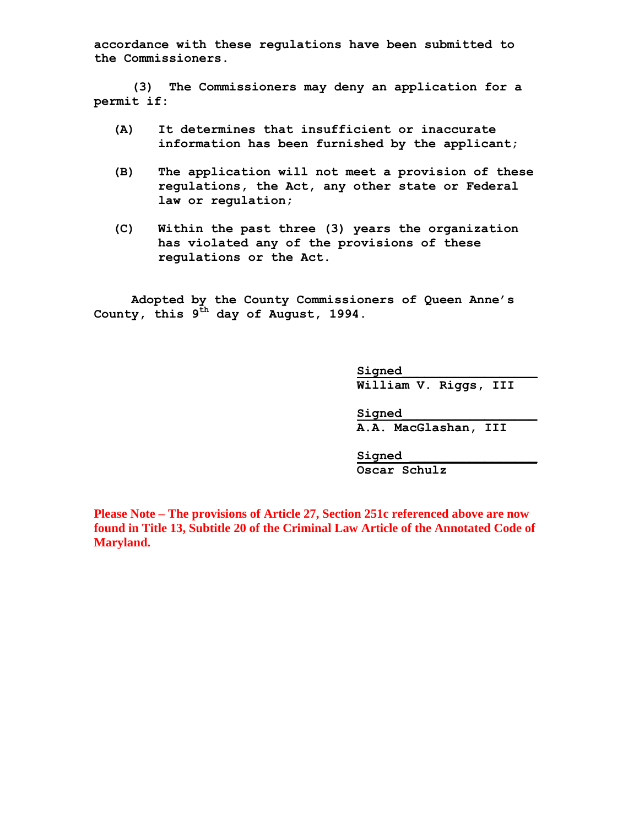**accordance with these regulations have been submitted to the Commissioners.**

**(3) The Commissioners may deny an application for a permit if:**

- **(A) It determines that insufficient or inaccurate information has been furnished by the applicant;**
- **(B) The application will not meet a provision of these regulations, the Act, any other state or Federal law or regulation;**
- **(C) Within the past three (3) years the organization has violated any of the provisions of these regulations or the Act.**

**Adopted by the County Commissioners of Queen Anne's County, this 9th day of August, 1994.**

> **Signed\_\_\_\_\_\_\_\_\_\_\_\_\_\_\_\_\_\_ William V. Riggs, III**

**Signed\_\_\_\_\_\_\_\_\_\_\_\_\_\_\_\_\_\_ A.A. MacGlashan, III**

**Signed \_\_\_\_\_\_\_\_\_\_\_\_\_\_\_\_\_ Oscar Schulz**

**Please Note – The provisions of Article 27, Section 251c referenced above are now found in Title 13, Subtitle 20 of the Criminal Law Article of the Annotated Code of Maryland.**